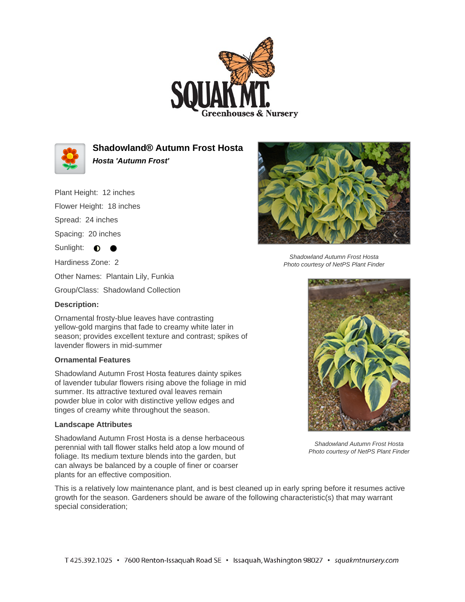



**Shadowland® Autumn Frost Hosta Hosta 'Autumn Frost'**

Plant Height: 12 inches

Flower Height: 18 inches

Spread: 24 inches

Spacing: 20 inches

Sunlight: **0** 

Hardiness Zone: 2

Other Names: Plantain Lily, Funkia

Group/Class: Shadowland Collection

# **Description:**

Ornamental frosty-blue leaves have contrasting yellow-gold margins that fade to creamy white later in season; provides excellent texture and contrast; spikes of lavender flowers in mid-summer

### **Ornamental Features**

Shadowland Autumn Frost Hosta features dainty spikes of lavender tubular flowers rising above the foliage in mid summer. Its attractive textured oval leaves remain powder blue in color with distinctive yellow edges and tinges of creamy white throughout the season.

### **Landscape Attributes**

Shadowland Autumn Frost Hosta is a dense herbaceous perennial with tall flower stalks held atop a low mound of foliage. Its medium texture blends into the garden, but can always be balanced by a couple of finer or coarser plants for an effective composition.



Shadowland Autumn Frost Hosta Photo courtesy of NetPS Plant Finder



Shadowland Autumn Frost Hosta Photo courtesy of NetPS Plant Finder

This is a relatively low maintenance plant, and is best cleaned up in early spring before it resumes active growth for the season. Gardeners should be aware of the following characteristic(s) that may warrant special consideration;